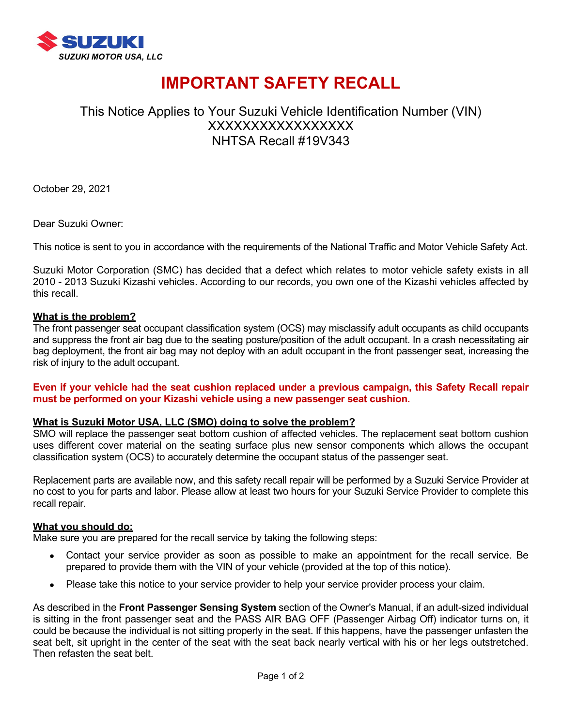

# **IMPORTANT SAFETY RECALL**

# This Notice Applies to Your Suzuki Vehicle Identification Number (VIN) XXXXXXXXXXXXXXXXX NHTSA Recall #19V343

October 29, 2021

Dear Suzuki Owner:

This notice is sent to you in accordance with the requirements of the National Traffic and Motor Vehicle Safety Act.

Suzuki Motor Corporation (SMC) has decided that a defect which relates to motor vehicle safety exists in all 2010 - 2013 Suzuki Kizashi vehicles. According to our records, you own one of the Kizashi vehicles affected by this recall.

#### **What is the problem?**

The front passenger seat occupant classification system (OCS) may misclassify adult occupants as child occupants and suppress the front air bag due to the seating posture/position of the adult occupant. In a crash necessitating air bag deployment, the front air bag may not deploy with an adult occupant in the front passenger seat, increasing the risk of injury to the adult occupant.

#### **Even if your vehicle had the seat cushion replaced under a previous campaign, this Safety Recall repair must be performed on your Kizashi vehicle using a new passenger seat cushion.**

#### **What is Suzuki Motor USA, LLC (SMO) doing to solve the problem?**

SMO will replace the passenger seat bottom cushion of affected vehicles. The replacement seat bottom cushion uses different cover material on the seating surface plus new sensor components which allows the occupant classification system (OCS) to accurately determine the occupant status of the passenger seat.

Replacement parts are available now, and this safety recall repair will be performed by a Suzuki Service Provider at no cost to you for parts and labor. Please allow at least two hours for your Suzuki Service Provider to complete this recall repair.

#### **What you should do:**

Make sure you are prepared for the recall service by taking the following steps:

- Contact your service provider as soon as possible to make an appointment for the recall service. Be prepared to provide them with the VIN of your vehicle (provided at the top of this notice).
- Please take this notice to your service provider to help your service provider process your claim.

As described in the **Front Passenger Sensing System** section of the Owner's Manual, if an adult-sized individual is sitting in the front passenger seat and the PASS AIR BAG OFF (Passenger Airbag Off) indicator turns on, it could be because the individual is not sitting properly in the seat. If this happens, have the passenger unfasten the seat belt, sit upright in the center of the seat with the seat back nearly vertical with his or her legs outstretched. Then refasten the seat belt.